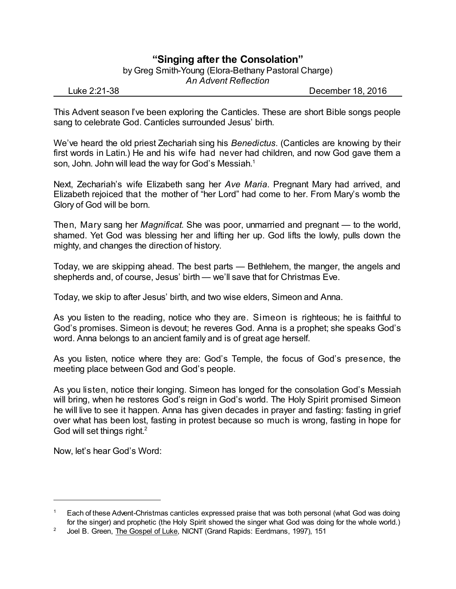## **"Singing after the Consolation"**

by Greg Smith-Young (Elora-Bethany Pastoral Charge) *An Advent Reflection*

Luke 2:21-38 December 18, 2016

This Advent season I've been exploring the Canticles. These are short Bible songs people sang to celebrate God. Canticles surrounded Jesus' birth.

We've heard the old priest Zechariah sing his *Benedictus*. (Canticles are knowing by their first words in Latin.) He and his wife had never had children, and now God gave them a son, John. John will lead the way for God's Messiah. 1

Next, Zechariah's wife Elizabeth sang her *Ave Maria*. Pregnant Mary had arrived, and Elizabeth rejoiced that the mother of "her Lord" had come to her. From Mary's womb the Glory of God will be born.

Then, Mary sang her *Magnificat.* She was poor, unmarried and pregnant — to the world, shamed. Yet God was blessing her and lifting her up. God lifts the lowly, pulls down the mighty, and changes the direction of history.

Today, we are skipping ahead. The best parts — Bethlehem, the manger, the angels and shepherds and, of course, Jesus' birth — we'll save that for Christmas Eve.

Today, we skip to after Jesus' birth, and two wise elders, Simeon and Anna.

As you listen to the reading, notice who they are. Simeon is righteous; he is faithful to God's promises. Simeon is devout; he reveres God. Anna is a prophet; she speaks God's word. Anna belongs to an ancient family and is of great age herself.

As you listen, notice where they are: God's Temple, the focus of God's presence, the meeting place between God and God's people.

As you listen, notice their longing. Simeon has longed for the consolation God's Messiah will bring, when he restores God's reign in God's world. The Holy Spirit promised Simeon he will live to see it happen. Anna has given decades in prayer and fasting: fasting in grief over what has been lost, fasting in protest because so much is wrong, fasting in hope for God will set things right. 2

Now, let's hear God's Word:

<sup>&</sup>lt;sup>1</sup> Each of these Advent-Christmas canticles expressed praise that was both personal (what God was doing for the singer) and prophetic (the Holy Spirit showed the singer what God was doing for the whole world.)

<sup>&</sup>lt;sup>2</sup> Joel B. Green, The Gospel of Luke, NICNT (Grand Rapids: Eerdmans, 1997), 151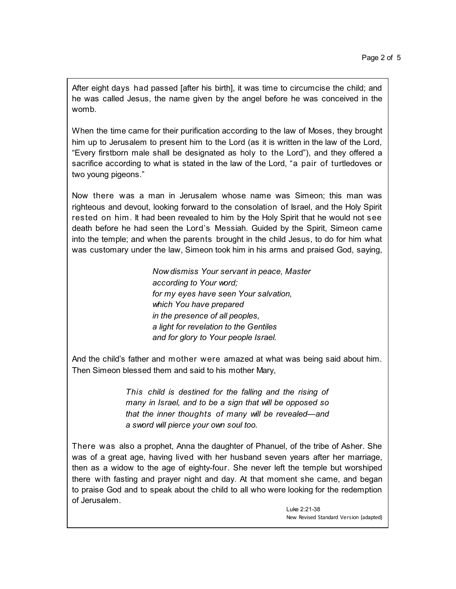After eight days had passed [after his birth], it was time to circumcise the child; and he was called Jesus, the name given by the angel before he was conceived in the womb.

When the time came for their purification according to the law of Moses, they brought him up to Jerusalem to present him to the Lord (as it is written in the law of the Lord, "Every firstborn male shall be designated as holy to the Lord"), and they offered a sacrifice according to what is stated in the law of the Lord, "a pair of turtledoves or two young pigeons."

Now there was a man in Jerusalem whose name was Simeon; this man was righteous and devout, looking forward to the consolation of Israel, and the Holy Spirit rested on him. It had been revealed to him by the Holy Spirit that he would not see death before he had seen the Lord's Messiah. Guided by the Spirit, Simeon came into the temple; and when the parents brought in the child Jesus, to do for him what was customary under the law, Simeon took him in his arms and praised God, saying,

> *Now dismiss Your servant in peace, Master according to Your word; for my eyes have seen Your salvation, which You have prepared in the presence of all peoples, a light for revelation to the Gentiles and for glory to Your people Israel.*

And the child's father and mother were amazed at what was being said about him. Then Simeon blessed them and said to his mother Mary,

> *This child is destined for the falling and the rising of many in Israel, and to be a sign that will be opposed so that the inner thoughts of many will be revealed—and a sword will pierce your own soul too.*

There was also a prophet, Anna the daughter of Phanuel, of the tribe of Asher. She was of a great age, having lived with her husband seven years after her marriage, then as a widow to the age of eighty-four. She never left the temple but worshiped there with fasting and prayer night and day. At that moment she came, and began to praise God and to speak about the child to all who were looking for the redemption of Jerusalem.

> Luke 2:21-38 New Revised Standard Version (adapted)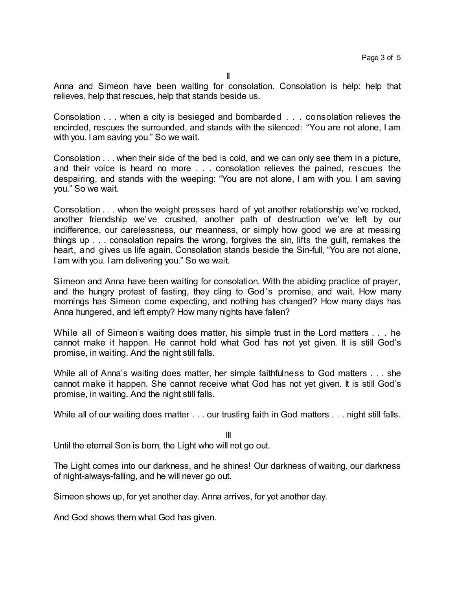Anna and Simeon have been waiting for consolation. Consolation is help: help that relieves, help that rescues, help that stands beside us.

Consolation . . . when a city is besieged and bombarded . . . consolation relieves the encircled, rescues the surrounded, and stands with the silenced: "You are not alone, I am with you. I am saving you." So we wait.

Consolation . . . when their side of the bed is cold, and we can only see them in a picture, and their voice is heard no more . . . consolation relieves the pained, rescues the despairing, and stands with the weeping: "You are not alone, I am with you. I am saving you." So we wait.

Consolation . . . when the weight presses hard of yet another relationship we've rocked, another friendship we've crushed, another path of destruction we've left by our indifference, our carelessness, our meanness, or simply how good we are at messing things up . . . consolation repairs the wrong, forgives the sin, lifts the guilt, remakes the heart, and gives us life again. Consolation stands beside the Sin-full, "You are not alone, I am with you. I am delivering you." So we wait.

Simeon and Anna have been waiting for consolation. With the abiding practice of prayer, and the hungry protest of fasting, they cling to God's promise, and wait. How many mornings has Simeon come expecting, and nothing has changed? How many days has Anna hungered, and left empty? How many nights have fallen?

While all of Simeon's waiting does matter, his simple trust in the Lord matters . . . he cannot make it happen. He cannot hold what God has not yet given. It is still God's promise, in waiting. And the night still falls.

While all of Anna's waiting does matter, her simple faithfulness to God matters . . . she cannot make it happen. She cannot receive what God has not yet given. It is still God's promise, in waiting. And the night still falls.

While all of our waiting does matter . . . our trusting faith in God matters . . . night still falls.

III

Until the eternal Son is born, the Light who will not go out.

The Light comes into our darkness, and he shines! Our darkness of waiting, our darkness of night-always-falling, and he will never go out.

Simeon shows up, for yet another day. Anna arrives, for yet another day.

And God shows them what God has given.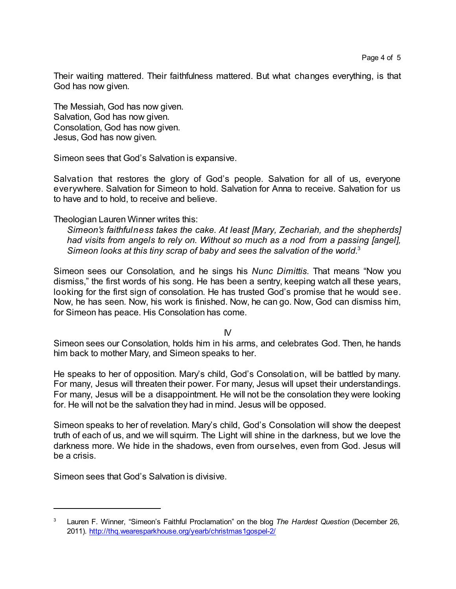Their waiting mattered. Their faithfulness mattered. But what changes everything, is that God has now given.

The Messiah, God has now given. Salvation, God has now given. Consolation, God has now given. Jesus, God has now given.

Simeon sees that God's Salvation is expansive.

Salvation that restores the glory of God's people. Salvation for all of us, everyone everywhere. Salvation for Simeon to hold. Salvation for Anna to receive. Salvation for us to have and to hold, to receive and believe.

## Theologian Lauren Winner writes this:

*Simeon's faithfulness takes the cake. At least [Mary, Zechariah, and the shepherds] had visits from angels to rely on. Without so much as a nod from a passing [angel], Simeon looks at this tiny scrap of baby and sees the salvation of the world.*<sup>3</sup>

Simeon sees our Consolation, and he sings his *Nunc Dimittis.* That means "Now you dismiss," the first words of his song. He has been a sentry, keeping watch all these years, looking for the first sign of consolation. He has trusted God's promise that he would see. Now, he has seen. Now, his work is finished. Now, he can go. Now, God can dismiss him, for Simeon has peace. His Consolation has come.

 $N$ 

Simeon sees our Consolation, holds him in his arms, and celebrates God. Then, he hands him back to mother Mary, and Simeon speaks to her.

He speaks to her of opposition. Mary's child, God's Consolation, will be battled by many. For many, Jesus will threaten their power. For many, Jesus will upset their understandings. For many, Jesus will be a disappointment. He will not be the consolation they were looking for. He will not be the salvation they had in mind. Jesus will be opposed.

Simeon speaks to her of revelation. Mary's child, God's Consolation will show the deepest truth of each of us, and we will squirm. The Light will shine in the darkness, but we love the darkness more. We hide in the shadows, even from ourselves, even from God. Jesus will be a crisis.

Simeon sees that God's Salvation is divisive.

<sup>3</sup> Lauren F. Winner, "Simeon's Faithful Proclamation" on the blog *The Hardest Question* (December 26, 2011). <http://thq.wearesparkhouse.org/yearb/christmas1gospel-2/>